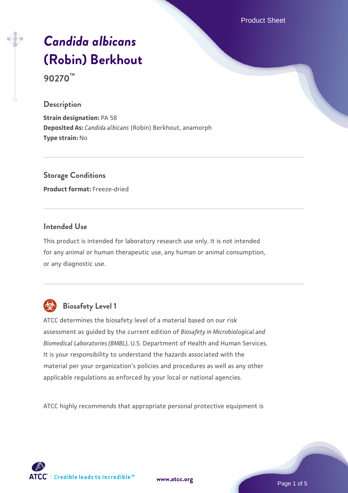Product Sheet

# *[Candida albicans](https://www.atcc.org/products/90270)* **[\(Robin\) Berkhout](https://www.atcc.org/products/90270)**

**90270™**

#### **Description**

**Strain designation:** PA 58 **Deposited As:** *Candida albicans* (Robin) Berkhout, anamorph **Type strain:** No

**Storage Conditions Product format:** Freeze-dried

# **Intended Use**

This product is intended for laboratory research use only. It is not intended for any animal or human therapeutic use, any human or animal consumption, or any diagnostic use.



# **Biosafety Level 1**

ATCC determines the biosafety level of a material based on our risk assessment as guided by the current edition of *Biosafety in Microbiological and Biomedical Laboratories (BMBL)*, U.S. Department of Health and Human Services. It is your responsibility to understand the hazards associated with the material per your organization's policies and procedures as well as any other applicable regulations as enforced by your local or national agencies.

ATCC highly recommends that appropriate personal protective equipment is

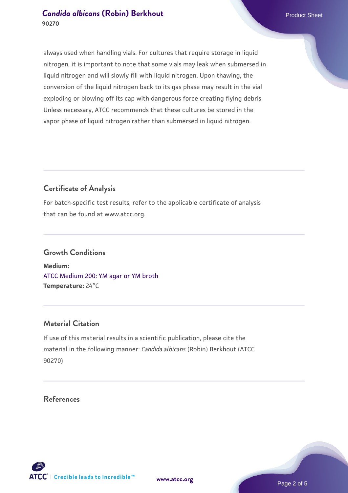### **[Candida albicans](https://www.atcc.org/products/90270) [\(Robin\) Berkhout](https://www.atcc.org/products/90270) Candida albicans** (Robin) Berkhout **90270**

always used when handling vials. For cultures that require storage in liquid nitrogen, it is important to note that some vials may leak when submersed in liquid nitrogen and will slowly fill with liquid nitrogen. Upon thawing, the conversion of the liquid nitrogen back to its gas phase may result in the vial exploding or blowing off its cap with dangerous force creating flying debris. Unless necessary, ATCC recommends that these cultures be stored in the vapor phase of liquid nitrogen rather than submersed in liquid nitrogen.

# **Certificate of Analysis**

For batch-specific test results, refer to the applicable certificate of analysis that can be found at www.atcc.org.

# **Growth Conditions**

**Medium:**  [ATCC Medium 200: YM agar or YM broth](https://www.atcc.org/-/media/product-assets/documents/microbial-media-formulations/2/0/0/atcc-medium-200.pdf?rev=ac40fd74dc13433a809367b0b9da30fc) **Temperature:** 24°C

# **Material Citation**

If use of this material results in a scientific publication, please cite the material in the following manner: *Candida albicans* (Robin) Berkhout (ATCC 90270)

#### **References**

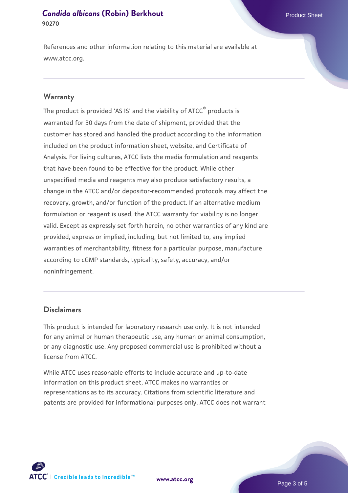#### **[Candida albicans](https://www.atcc.org/products/90270) [\(Robin\) Berkhout](https://www.atcc.org/products/90270) Candida albicans** (Robin) Berkhout **90270**

References and other information relating to this material are available at www.atcc.org.

#### **Warranty**

The product is provided 'AS IS' and the viability of ATCC® products is warranted for 30 days from the date of shipment, provided that the customer has stored and handled the product according to the information included on the product information sheet, website, and Certificate of Analysis. For living cultures, ATCC lists the media formulation and reagents that have been found to be effective for the product. While other unspecified media and reagents may also produce satisfactory results, a change in the ATCC and/or depositor-recommended protocols may affect the recovery, growth, and/or function of the product. If an alternative medium formulation or reagent is used, the ATCC warranty for viability is no longer valid. Except as expressly set forth herein, no other warranties of any kind are provided, express or implied, including, but not limited to, any implied warranties of merchantability, fitness for a particular purpose, manufacture according to cGMP standards, typicality, safety, accuracy, and/or noninfringement.

#### **Disclaimers**

This product is intended for laboratory research use only. It is not intended for any animal or human therapeutic use, any human or animal consumption, or any diagnostic use. Any proposed commercial use is prohibited without a license from ATCC.

While ATCC uses reasonable efforts to include accurate and up-to-date information on this product sheet, ATCC makes no warranties or representations as to its accuracy. Citations from scientific literature and patents are provided for informational purposes only. ATCC does not warrant



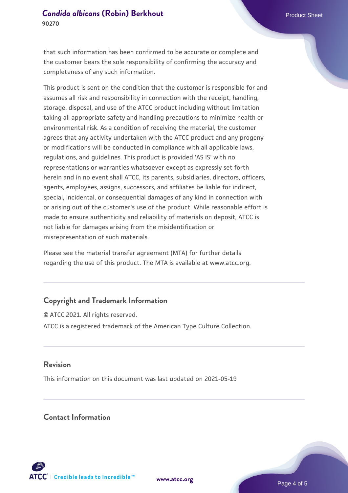#### **[Candida albicans](https://www.atcc.org/products/90270) [\(Robin\) Berkhout](https://www.atcc.org/products/90270) Candida albicans** (Robin) Berkhout **90270**

that such information has been confirmed to be accurate or complete and the customer bears the sole responsibility of confirming the accuracy and completeness of any such information.

This product is sent on the condition that the customer is responsible for and assumes all risk and responsibility in connection with the receipt, handling, storage, disposal, and use of the ATCC product including without limitation taking all appropriate safety and handling precautions to minimize health or environmental risk. As a condition of receiving the material, the customer agrees that any activity undertaken with the ATCC product and any progeny or modifications will be conducted in compliance with all applicable laws, regulations, and guidelines. This product is provided 'AS IS' with no representations or warranties whatsoever except as expressly set forth herein and in no event shall ATCC, its parents, subsidiaries, directors, officers, agents, employees, assigns, successors, and affiliates be liable for indirect, special, incidental, or consequential damages of any kind in connection with or arising out of the customer's use of the product. While reasonable effort is made to ensure authenticity and reliability of materials on deposit, ATCC is not liable for damages arising from the misidentification or misrepresentation of such materials.

Please see the material transfer agreement (MTA) for further details regarding the use of this product. The MTA is available at www.atcc.org.

# **Copyright and Trademark Information**

© ATCC 2021. All rights reserved. ATCC is a registered trademark of the American Type Culture Collection.

#### **Revision**

This information on this document was last updated on 2021-05-19

### **Contact Information**



**[www.atcc.org](http://www.atcc.org)**